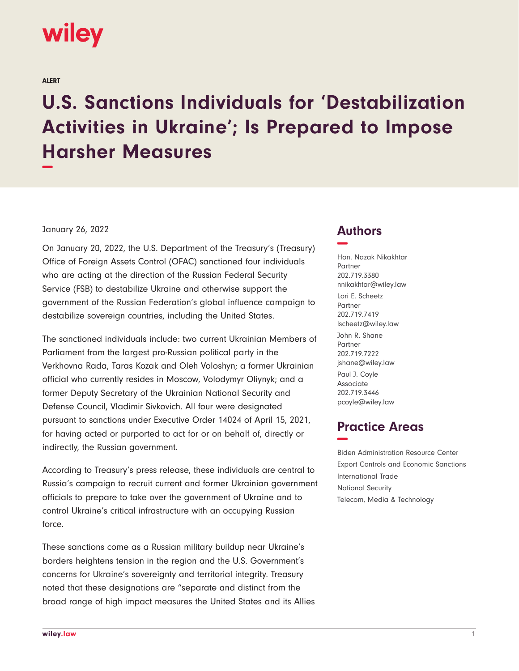# wiley

ALERT

# **U.S. Sanctions Individuals for 'Destabilization Activities in Ukraine'; Is Prepared to Impose Harsher Measures −**

#### January 26, 2022

On January 20, 2022, the U.S. Department of the Treasury's (Treasury) Office of Foreign Assets Control (OFAC) sanctioned four individuals who are acting at the direction of the Russian Federal Security Service (FSB) to destabilize Ukraine and otherwise support the government of the Russian Federation's global influence campaign to destabilize sovereign countries, including the United States.

The sanctioned individuals include: two current Ukrainian Members of Parliament from the largest pro-Russian political party in the Verkhovna Rada, Taras Kozak and Oleh Voloshyn; a former Ukrainian official who currently resides in Moscow, Volodymyr Oliynyk; and a former Deputy Secretary of the Ukrainian National Security and Defense Council, Vladimir Sivkovich. All four were designated pursuant to sanctions under Executive Order 14024 of April 15, 2021, for having acted or purported to act for or on behalf of, directly or indirectly, the Russian government.

According to Treasury's press release, these individuals are central to Russia's campaign to recruit current and former Ukrainian government officials to prepare to take over the government of Ukraine and to control Ukraine's critical infrastructure with an occupying Russian force.

These sanctions come as a Russian military buildup near Ukraine's borders heightens tension in the region and the U.S. Government's concerns for Ukraine's sovereignty and territorial integrity. Treasury noted that these designations are "separate and distinct from the broad range of high impact measures the United States and its Allies

### **Authors −**

Hon. Nazak Nikakhtar Partner 202.719.3380 nnikakhtar@wiley.law Lori E. Scheetz Partner 202.719.7419 lscheetz@wiley.law John R. Shane Partner 202.719.7222 jshane@wiley.law Paul J. Coyle Associate 202.719.3446 pcoyle@wiley.law

## **Practice Areas −**

Biden Administration Resource Center Export Controls and Economic Sanctions International Trade National Security Telecom, Media & Technology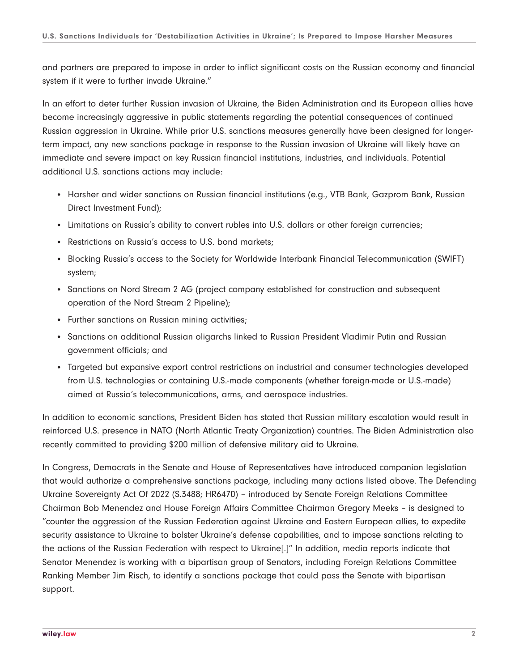and partners are prepared to impose in order to inflict significant costs on the Russian economy and financial system if it were to further invade Ukraine."

In an effort to deter further Russian invasion of Ukraine, the Biden Administration and its European allies have become increasingly aggressive in public statements regarding the potential consequences of continued Russian aggression in Ukraine. While prior U.S. sanctions measures generally have been designed for longerterm impact, any new sanctions package in response to the Russian invasion of Ukraine will likely have an immediate and severe impact on key Russian financial institutions, industries, and individuals. Potential additional U.S. sanctions actions may include:

- Harsher and wider sanctions on Russian financial institutions (e.g., VTB Bank, Gazprom Bank, Russian Direct Investment Fund);
- Limitations on Russia's ability to convert rubles into U.S. dollars or other foreign currencies;
- Restrictions on Russia's access to U.S. bond markets;
- Blocking Russia's access to the Society for Worldwide Interbank Financial Telecommunication (SWIFT) system;
- Sanctions on Nord Stream 2 AG (project company established for construction and subsequent operation of the Nord Stream 2 Pipeline);
- Further sanctions on Russian mining activities;
- Sanctions on additional Russian oligarchs linked to Russian President Vladimir Putin and Russian government officials; and
- Targeted but expansive export control restrictions on industrial and consumer technologies developed from U.S. technologies or containing U.S.-made components (whether foreign-made or U.S.-made) aimed at Russia's telecommunications, arms, and aerospace industries.

In addition to economic sanctions, President Biden has stated that Russian military escalation would result in reinforced U.S. presence in NATO (North Atlantic Treaty Organization) countries. The Biden Administration also recently committed to providing \$200 million of defensive military aid to Ukraine.

In Congress, Democrats in the Senate and House of Representatives have introduced companion legislation that would authorize a comprehensive sanctions package, including many actions listed above. The Defending Ukraine Sovereignty Act Of 2022 (S.3488; HR6470) – introduced by Senate Foreign Relations Committee Chairman Bob Menendez and House Foreign Affairs Committee Chairman Gregory Meeks – is designed to "counter the aggression of the Russian Federation against Ukraine and Eastern European allies, to expedite security assistance to Ukraine to bolster Ukraine's defense capabilities, and to impose sanctions relating to the actions of the Russian Federation with respect to Ukraine[.]" In addition, media reports indicate that Senator Menendez is working with a bipartisan group of Senators, including Foreign Relations Committee Ranking Member Jim Risch, to identify a sanctions package that could pass the Senate with bipartisan support.